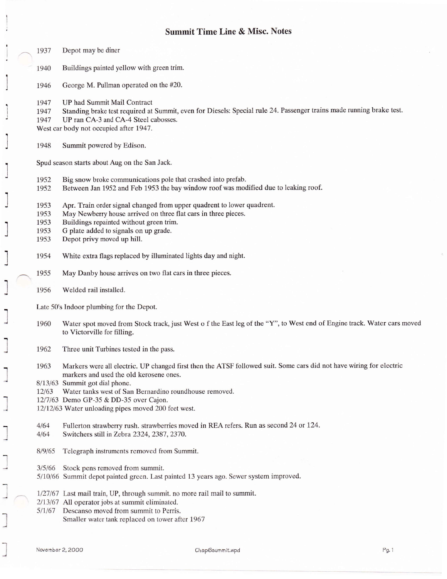## Summit Time Line & Misc. Notes

1 1  $\overline{1}$ J ''t .,]

:

7

## 1937 Depot may be diner

- 1940 Buildings painted yellow with green trim.
- 1946 George M. Pullman operated on the #20.
- 1947 UP had Summit Mail Contract
- 1947 Standing brake test required at Summit, even for Diesels: Special rule 24. Passenger trains made running brake test.<br>1947 UP ran CA-3 and CA-4 Steel cabosses.
- UP ran CA-3 and CA-4 Steel cabosses.

West car body not occupied after 1947.

1948 Summit powered by Edison.

Spud season starts about Aug on the San Jack.

- 
- 1952 Big snow broke communications pole that crashed into prefab.<br>1952 Between Jan 1952 and Feb 1953 the bay window roof was mod 1952 Between Jan 1952 and Feb 1953 the bay window roof was modified due to leaking roof.
- 1953 Apr. Train order signal changed from upper quadrent to lower quadrent.<br>1953 May Newberry house arrived on three flat cars in three pieces.
- 1953 May Newberry house arrived on three flat cars in three pieces.<br>1953 Buildings repainted without green trim.
- 1953 Buildings repainted without green trim.<br>1953 G plate added to signals on up grade.
- 1953 G plate added to signals on up grade.<br>1953 Depot privy moved up hill.
- Depot privy moved up hill.
- 1954 White extra flags replaced by illuminated lights day and night.
- 1955 May Danby house arrives on rwo flat cars in three pieces.
- 1956 Welded rail installed.

Late 50's Indoor plumbing for the Depot.

- 1960 Water spot moved from Stock track, just West o f the East leg of the "Y", to West end of Engine track. Water cars moved to Victorville for filling.
- 1962 Three unit Turbines tested in the pass.
- 1963 Markers were all electric. UP changed first then the ATSF followed suit. Some cars did not have wiring for electric markers and used the old kerosene ones.

8/13/63 Summit got dial phone.

- 12/63 Water tanks west of San Bernardino roundhouse removed.
- 12/7/63 Demo GP-35 & DD-35 over Cajon.
- 12/12/63 Water unloading pipes moved 200 feet west.
- 4/64 Fullerton strawberry rush. strawberries moved in REA refers. Run as second 24 or 124.
- 4/64 Switchers still in Zebra 2324, 2387, 2370.
- 8/9/65 Telegraph instruments removed from Summit.
- 3/5/66 Stock pens removed from summit.
- 5/10/66 Summit depot painted green. Last painted 13 years ago. Sewer system improved.
- 1/27/67 Last mail train, UP, through summit. no more rail mail to summit.
- $2/13/67$  All operator jobs at summit eliminated.
- 5/1/67 Descanso moved from summit to Perris.
	- Smaller water tank replaced on tower after 1967